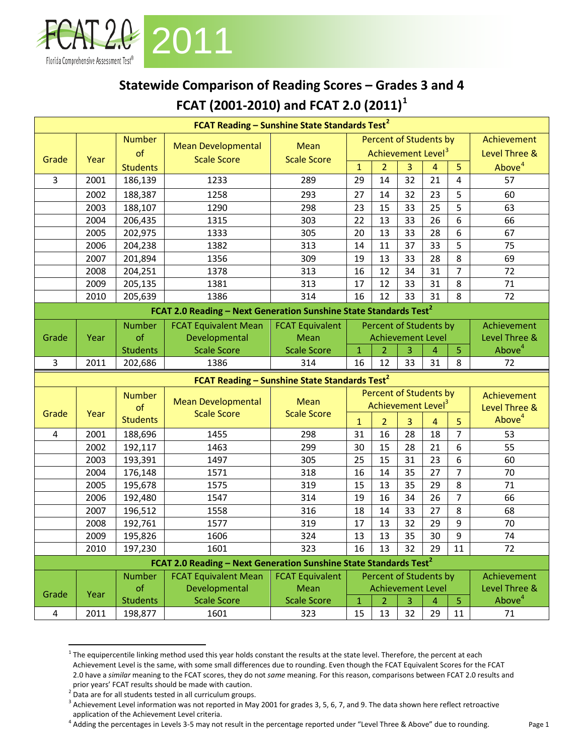

## **Statewide Comparison of Reading Scores – Grades 3 and 4 FCAT (2001-2010) and FCAT 2.0 (2011)[1](#page-0-0)**

|                                                           |              |                            | FCAT Reading - Sunshine State Standards Test <sup>2</sup>                     |                           |                        |                      |                                |                      |                      |                          |
|-----------------------------------------------------------|--------------|----------------------------|-------------------------------------------------------------------------------|---------------------------|------------------------|----------------------|--------------------------------|----------------------|----------------------|--------------------------|
|                                                           |              | <b>Number</b>              | <b>Mean Developmental</b>                                                     | <b>Mean</b>               | Percent of Students by |                      |                                |                      |                      | Achievement              |
| Grade                                                     | Year         | of                         | <b>Scale Score</b>                                                            | <b>Scale Score</b>        |                        |                      | Achievement Level <sup>3</sup> | Level Three &        |                      |                          |
|                                                           |              | <b>Students</b>            |                                                                               |                           | $\mathbf{1}$           | $\overline{2}$       | 3                              | $\overline{4}$       | 5                    | Above <sup>4</sup>       |
| $\overline{3}$                                            | 2001         | 186,139                    | 1233                                                                          | 289                       | 29                     | 14                   | 32                             | 21                   | 4                    | 57                       |
|                                                           | 2002         | 188,387                    | 1258                                                                          | 293                       | 27                     | 14                   | 32                             | 23                   | 5                    | 60                       |
|                                                           | 2003         | 188,107                    | 1290                                                                          | 298                       | 23                     | 15                   | 33                             | 25                   | 5                    | 63                       |
|                                                           | 2004         | 206,435                    | 1315                                                                          | 303                       | 22                     | 13                   | 33                             | 26                   | 6                    | 66                       |
|                                                           | 2005         | 202,975                    | 1333                                                                          | 305                       | 20                     | 13                   | 33                             | 28                   | 6                    | 67                       |
|                                                           | 2006         | 204,238                    | 1382                                                                          | 313                       | 14                     | 11                   | 37                             | 33                   | 5                    | 75                       |
|                                                           | 2007         | 201,894                    | 1356                                                                          | 309                       | 19                     | 13                   | 33                             | 28                   | 8                    | 69                       |
|                                                           | 2008         | 204,251                    | 1378                                                                          | 313                       | 16                     | 12                   | 34                             | 31                   | $\overline{7}$       | 72                       |
|                                                           | 2009         | 205,135                    | 1381                                                                          | 313                       | 17                     | 12                   | 33                             | 31                   | 8                    | 71                       |
|                                                           | 2010         | 205,639                    | 1386                                                                          | 314                       | 16                     | 12                   | 33                             | 31                   | 8                    | 72                       |
|                                                           |              |                            | FCAT 2.0 Reading - Next Generation Sunshine State Standards Test <sup>2</sup> |                           |                        |                      |                                |                      |                      |                          |
|                                                           |              | <b>Number</b>              | <b>FCAT Equivalent Mean</b>                                                   | <b>FCAT Equivalent</b>    |                        |                      | Percent of Students by         |                      |                      | Achievement              |
| Grade                                                     | Year         | of                         | Developmental                                                                 | Mean                      |                        |                      | <b>Achievement Level</b>       |                      |                      | Level Three &            |
|                                                           |              | <b>Students</b>            | <b>Scale Score</b>                                                            | <b>Scale Score</b>        | $\mathbf{1}$           | $\overline{2}$       | 3                              | 4                    | 5                    | Above <sup>4</sup>       |
| 3                                                         | 2011         | 202,686                    | 1386                                                                          | 314                       | 16                     | 12                   | 33                             | 31                   | 8                    | 72                       |
| FCAT Reading - Sunshine State Standards Test <sup>2</sup> |              |                            |                                                                               |                           |                        |                      |                                |                      |                      |                          |
|                                                           |              |                            |                                                                               |                           |                        |                      |                                |                      |                      |                          |
|                                                           |              | <b>Number</b>              |                                                                               |                           |                        |                      | <b>Percent of Students by</b>  |                      |                      | Achievement              |
|                                                           |              | of                         | <b>Mean Developmental</b>                                                     | <b>Mean</b>               |                        |                      | Achievement Level <sup>3</sup> |                      |                      | Level Three &            |
| Grade                                                     | Year         | <b>Students</b>            | <b>Scale Score</b>                                                            | <b>Scale Score</b>        | $\mathbf{1}$           | $\overline{2}$       | 3                              | 4                    | 5                    | Above <sup>4</sup>       |
| 4                                                         | 2001         | 188,696                    | 1455                                                                          | 298                       | 31                     | 16                   | 28                             | 18                   | $\overline{7}$       | 53                       |
|                                                           | 2002         | 192,117                    | 1463                                                                          | 299                       | 30                     | 15                   | 28                             | 21                   | 6                    | 55                       |
|                                                           | 2003         | 193,391                    | 1497                                                                          | 305                       | 25                     | 15                   | 31                             | 23                   | 6                    | 60                       |
|                                                           | 2004         | 176,148                    | 1571                                                                          | 318                       | 16                     | 14                   | 35                             | 27                   | $\overline{7}$       | 70                       |
|                                                           | 2005         | 195,678                    | 1575                                                                          | 319                       | 15                     | 13                   | 35                             | 29                   | 8                    | 71                       |
|                                                           | 2006         | 192,480                    | 1547                                                                          | 314                       | 19                     | 16                   | 34                             | 26                   | $\overline{7}$       | 66                       |
|                                                           | 2007         | 196,512                    | 1558                                                                          | 316                       | 18                     | 14                   | 33                             | 27                   | 8                    | 68                       |
|                                                           | 2008         | 192,761                    | 1577                                                                          | 319                       | 17                     | 13                   | 32                             | 29                   | 9                    | 70                       |
|                                                           | 2009         | 195,826                    | 1606                                                                          | 324                       | 13                     | 13                   | 35                             | 30                   | 9                    | 74                       |
|                                                           | 2010         | 197,230                    | 1601                                                                          | 323                       | 16                     | 13                   | 32                             | 29                   | 11                   | 72                       |
|                                                           |              |                            | FCAT 2.0 Reading - Next Generation Sunshine State Standards Test <sup>2</sup> |                           |                        |                      |                                |                      |                      |                          |
|                                                           |              | <b>Number</b>              | <b>FCAT Equivalent Mean</b>                                                   | <b>FCAT Equivalent</b>    |                        |                      | Percent of Students by         |                      |                      | Achievement              |
|                                                           |              | of                         | Developmental                                                                 | Mean                      |                        |                      | <b>Achievement Level</b>       |                      |                      | Level Three &            |
| Grade<br>$\overline{\mathbf{4}}$                          | Year<br>2011 | <b>Students</b><br>198,877 | <b>Scale Score</b><br>1601                                                    | <b>Scale Score</b><br>323 | $\overline{1}$<br>15   | $\overline{2}$<br>13 | 3<br>32                        | $\overline{4}$<br>29 | $\overline{5}$<br>11 | Above <sup>4</sup><br>71 |

<span id="page-0-0"></span> $1$  The equipercentile linking method used this year holds constant the results at the state level. Therefore, the percent at each Achievement Level is the same, with some small differences due to rounding. Even though the FCAT Equivalent Scores for the FCAT 2.0 have a *similar* meaning to the FCAT scores, they do not *same* meaning. For this reason, comparisons between FCAT 2.0 results and prior years' FCAT results should be made with caution.

<span id="page-0-1"></span><sup>2</sup> Data are for all students tested in all curriculum groups.

<span id="page-0-2"></span><sup>&</sup>lt;sup>3</sup> Achievement Level information was not reported in May 2001 for grades 3, 5, 6, 7, and 9. The data shown here reflect retroactive application of the Achievement Level criteria.

<span id="page-0-3"></span><sup>&</sup>lt;sup>4</sup> Adding the percentages in Levels 3-5 may not result in the percentage reported under "Level Three & Above" due to rounding.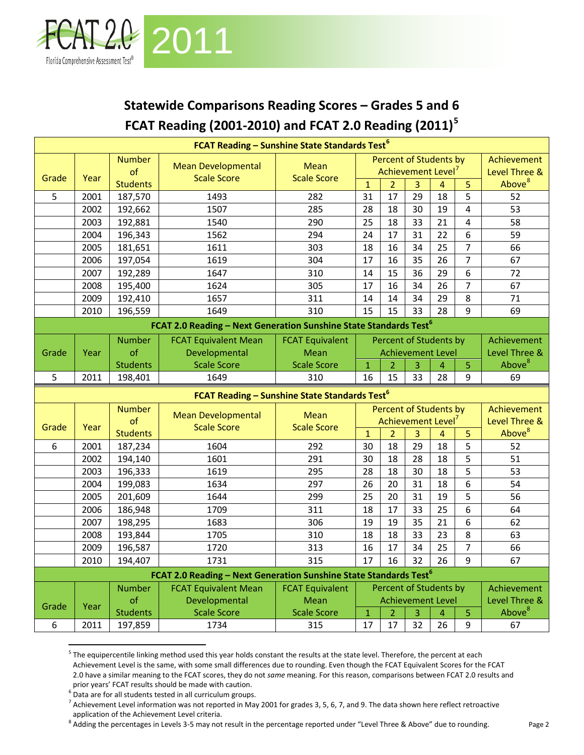

## **Statewide Comparisons Reading Scores – Grades 5 and 6 FCAT Reading (2001-2010) and FCAT 2.0 Reading (2011)[5](#page-1-0)**

| <b>FCAT Reading - Sunshine State Standards Test<sup>6</sup></b><br>Percent of Students by |      |                 |                                                                                                              |                        |                |                 |                                |                 |                |                    |
|-------------------------------------------------------------------------------------------|------|-----------------|--------------------------------------------------------------------------------------------------------------|------------------------|----------------|-----------------|--------------------------------|-----------------|----------------|--------------------|
|                                                                                           |      | <b>Number</b>   | <b>Mean Developmental</b>                                                                                    | Mean                   |                |                 |                                |                 |                | Achievement        |
| Grade                                                                                     | Year | of              | <b>Scale Score</b>                                                                                           | <b>Scale Score</b>     |                |                 | Achievement Level              |                 |                | Level Three &      |
|                                                                                           |      | <b>Students</b> |                                                                                                              |                        | $\overline{1}$ | $\overline{2}$  | $\overline{3}$                 | $\overline{4}$  | 5              | Above <sup>8</sup> |
| 5                                                                                         | 2001 | 187,570         | 1493                                                                                                         | 282                    | 31             | 17              | 29                             | 18              | 5              | 52                 |
|                                                                                           | 2002 | 192,662         | 1507                                                                                                         | 285                    | 28             | 18              | 30                             | 19              | 4              | 53                 |
|                                                                                           | 2003 | 192,881         | 1540                                                                                                         | 290                    | 25             | 18              | 33                             | 21              | 4              | 58                 |
|                                                                                           | 2004 | 196,343         | 1562                                                                                                         | 294                    | 24             | 17              | 31                             | 22              | 6              | 59                 |
|                                                                                           | 2005 | 181,651         | 1611                                                                                                         | 303                    | 18             | 16              | 34                             | 25              | $\overline{7}$ | 66                 |
|                                                                                           | 2006 | 197,054         | 1619                                                                                                         | 304                    | 17             | 16              | 35                             | 26              | $\overline{7}$ | 67                 |
|                                                                                           | 2007 | 192,289         | 1647                                                                                                         | 310                    | 14             | 15              | 36                             | 29              | 6              | 72                 |
|                                                                                           | 2008 | 195,400         | 1624                                                                                                         | 305                    | 17             | 16              | 34                             | 26              | $\overline{7}$ | 67                 |
|                                                                                           | 2009 | 192,410         | 1657                                                                                                         | 311                    | 14             | 14              | 34                             | 29              | 8              | 71                 |
|                                                                                           | 2010 | 196,559         | 1649                                                                                                         | 310                    | 15             | 15              | 33                             | 28              | 9              | 69                 |
|                                                                                           |      |                 | FCAT 2.0 Reading - Next Generation Sunshine State Standards Test <sup>6</sup>                                |                        |                |                 |                                |                 |                |                    |
|                                                                                           |      | <b>Number</b>   | <b>FCAT Equivalent Mean</b>                                                                                  | <b>FCAT Equivalent</b> |                |                 | <b>Percent of Students by</b>  |                 |                | Achievement        |
| Grade                                                                                     | Year | of              | Developmental                                                                                                | Mean                   |                |                 | <b>Achievement Level</b>       |                 |                | Level Three &      |
|                                                                                           |      | <b>Students</b> | <b>Scale Score</b>                                                                                           | <b>Scale Score</b>     | $\mathbf 1$    | $\overline{2}$  | 3                              | 4               | 5              | Above <sup>8</sup> |
| 5                                                                                         | 2011 | 198,401         | 1649                                                                                                         | 310                    | 16             | 15              | 33                             | 28              | 9              | 69                 |
| FCAT Reading - Sunshine State Standards Test <sup>6</sup>                                 |      |                 |                                                                                                              |                        |                |                 |                                |                 |                |                    |
|                                                                                           |      |                 |                                                                                                              |                        |                |                 |                                |                 |                |                    |
|                                                                                           |      | <b>Number</b>   |                                                                                                              |                        |                |                 | <b>Percent of Students by</b>  |                 |                | Achievement        |
|                                                                                           |      | of              | <b>Mean Developmental</b>                                                                                    | Mean                   |                |                 | Achievement Level <sup>7</sup> |                 |                | Level Three &      |
| Grade                                                                                     | Year | <b>Students</b> | <b>Scale Score</b>                                                                                           | <b>Scale Score</b>     | $\mathbf{1}$   | $\overline{2}$  | $\overline{3}$                 | $\overline{4}$  | 5              | Above <sup>8</sup> |
| 6                                                                                         | 2001 | 187,234         | 1604                                                                                                         | 292                    | 30             | 18              | 29                             | 18              | 5              | 52                 |
|                                                                                           | 2002 | 194,140         | 1601                                                                                                         | 291                    | 30             | 18              | 28                             | 18              | 5              | 51                 |
|                                                                                           | 2003 | 196,333         | 1619                                                                                                         | 295                    | 28             | 18              | 30                             | 18              | 5              | 53                 |
|                                                                                           | 2004 | 199,083         | 1634                                                                                                         | 297                    | 26             | 20              | 31                             | 18              | 6              | 54                 |
|                                                                                           | 2005 | 201,609         | 1644                                                                                                         | 299                    | 25             | 20              | 31                             | 19              | 5              | 56                 |
|                                                                                           | 2006 | 186,948         | 1709                                                                                                         | 311                    | 18             | 17              | 33                             | 25              | $\overline{6}$ | 64                 |
|                                                                                           | 2007 | 198,295         | 1683                                                                                                         | 306                    | 19             | 19              | 35                             | 21              | 6              | 62                 |
|                                                                                           | 2008 | 193,844         | 1705                                                                                                         | 310                    | 18             | 18              | 33                             | 23              | 8              | 63                 |
|                                                                                           | 2009 | 196,587         | 1720                                                                                                         | 313                    | 16             | $\overline{17}$ | $\overline{34}$                | $\overline{25}$ | $\overline{7}$ | 66                 |
|                                                                                           | 2010 | 194,407         | 1731                                                                                                         | 315                    | 17             | 16              | 32                             | 26              | 9              | 67                 |
|                                                                                           |      |                 |                                                                                                              |                        |                |                 |                                |                 |                |                    |
|                                                                                           |      | <b>Number</b>   | FCAT 2.0 Reading - Next Generation Sunshine State Standards Test <sup>6</sup><br><b>FCAT Equivalent Mean</b> | <b>FCAT Equivalent</b> |                |                 | Percent of Students by         |                 |                | Achievement        |
|                                                                                           |      | of              | Developmental                                                                                                | Mean                   |                |                 | <b>Achievement Level</b>       |                 |                | Level Three &      |
| Grade                                                                                     | Year | <b>Students</b> | <b>Scale Score</b>                                                                                           | <b>Scale Score</b>     | $\mathbf 1$    | $\overline{2}$  | 3                              | 4               | 5              | Above <sup>8</sup> |

<span id="page-1-0"></span><sup>&</sup>lt;sup>5</sup> The equipercentile linking method used this year holds constant the results at the state level. Therefore, the percent at each Achievement Level is the same, with some small differences due to rounding. Even though the FCAT Equivalent Scores for the FCAT 2.0 have a similar meaning to the FCAT scores, they do not *same* meaning. For this reason, comparisons between FCAT 2.0 results and prior years' FCAT results should be made with caution.

<span id="page-1-1"></span><sup>6</sup> Data are for all students tested in all curriculum groups.

<span id="page-1-2"></span> $^7$  Achievement Level information was not reported in May 2001 for grades 3, 5, 6, 7, and 9. The data shown here reflect retroactive application of the Achievement Level criteria.

<span id="page-1-3"></span><sup>&</sup>lt;sup>8</sup> Adding the percentages in Levels 3-5 may not result in the percentage reported under "Level Three & Above" due to rounding.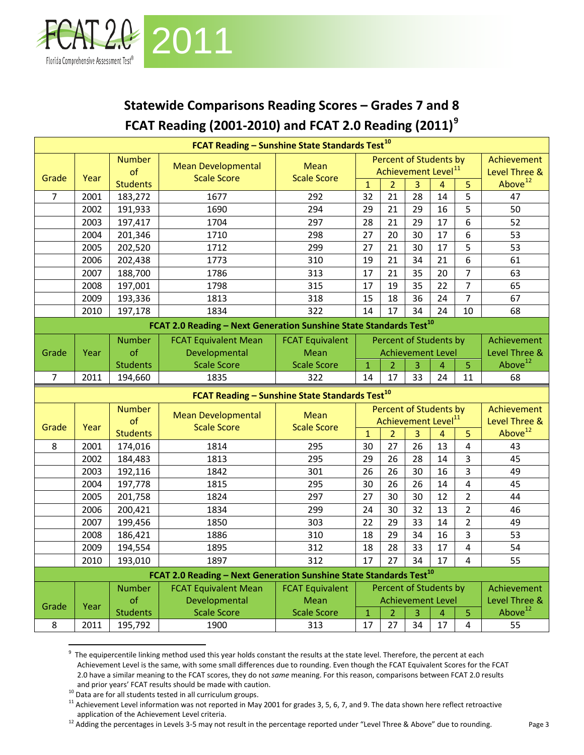

## **Statewide Comparisons Reading Scores – Grades 7 and 8 FCAT Reading (2001-2010) and FCAT 2.0 Reading (2011)[9](#page-2-0)**

|                                                            |      |                 | FCAT Reading - Sunshine State Standards Test <sup>10</sup>                                                    |                        |                |                |                 |                                 |                |                     |
|------------------------------------------------------------|------|-----------------|---------------------------------------------------------------------------------------------------------------|------------------------|----------------|----------------|-----------------|---------------------------------|----------------|---------------------|
|                                                            |      | <b>Number</b>   | <b>Mean Developmental</b>                                                                                     | <b>Mean</b>            |                |                |                 | Percent of Students by          |                | Achievement         |
| Grade                                                      | Year | of              | <b>Scale Score</b>                                                                                            | <b>Scale Score</b>     |                |                |                 | Achievement Level <sup>11</sup> |                | Level Three &       |
|                                                            |      | <b>Students</b> |                                                                                                               |                        | $\mathbf{1}$   | $\overline{2}$ | 3               | $\overline{4}$                  | 5              | Above <sup>12</sup> |
| $\overline{7}$                                             | 2001 | 183,272         | 1677                                                                                                          | 292                    | 32             | 21             | $\overline{28}$ | 14                              | 5              | 47                  |
|                                                            | 2002 | 191,933         | 1690                                                                                                          | 294                    | 29             | 21             | 29              | 16                              | 5              | 50                  |
|                                                            | 2003 | 197,417         | 1704                                                                                                          | 297                    | 28             | 21             | 29              | 17                              | 6              | 52                  |
|                                                            | 2004 | 201,346         | 1710                                                                                                          | 298                    | 27             | 20             | 30              | 17                              | 6              | 53                  |
|                                                            | 2005 | 202,520         | 1712                                                                                                          | 299                    | 27             | 21             | 30              | 17                              | 5              | 53                  |
|                                                            | 2006 | 202,438         | 1773                                                                                                          | 310                    | 19             | 21             | 34              | 21                              | 6              | 61                  |
|                                                            | 2007 | 188,700         | 1786                                                                                                          | 313                    | 17             | 21             | 35              | 20                              | $\overline{7}$ | 63                  |
|                                                            | 2008 | 197,001         | 1798                                                                                                          | 315                    | 17             | 19             | 35              | 22                              | $\overline{7}$ | 65                  |
|                                                            | 2009 | 193,336         | 1813                                                                                                          | 318                    | 15             | 18             | 36              | 24                              | $\overline{7}$ | 67                  |
|                                                            | 2010 | 197,178         | 1834                                                                                                          | 322                    | 14             | 17             | 34              | 24                              | 10             | 68                  |
|                                                            |      |                 | FCAT 2.0 Reading - Next Generation Sunshine State Standards Test <sup>10</sup>                                |                        |                |                |                 |                                 |                |                     |
|                                                            |      | <b>Number</b>   | <b>FCAT Equivalent Mean</b>                                                                                   | <b>FCAT Equivalent</b> |                |                |                 | <b>Percent of Students by</b>   |                | Achievement         |
| Grade                                                      | Year | of              | Developmental                                                                                                 | Mean                   |                |                |                 | <b>Achievement Level</b>        |                | Level Three &       |
|                                                            |      | <b>Students</b> | <b>Scale Score</b>                                                                                            | <b>Scale Score</b>     | $\mathbf{1}$   | $\overline{2}$ | 3               | 4                               | $\overline{5}$ | Above <sup>12</sup> |
| 7                                                          | 2011 | 194,660         | 1835                                                                                                          | 322                    | 14             | 17             | 33              | 24                              | 11             | 68                  |
| FCAT Reading - Sunshine State Standards Test <sup>10</sup> |      |                 |                                                                                                               |                        |                |                |                 |                                 |                |                     |
|                                                            |      |                 |                                                                                                               |                        |                |                |                 |                                 |                |                     |
|                                                            |      | <b>Number</b>   |                                                                                                               |                        |                |                |                 | Percent of Students by          |                | Achievement         |
|                                                            |      | of              | <b>Mean Developmental</b>                                                                                     | <b>Mean</b>            |                |                |                 | Achievement Level <sup>11</sup> |                | Level Three &       |
| Grade                                                      | Year | <b>Students</b> | <b>Scale Score</b>                                                                                            | <b>Scale Score</b>     | $\overline{1}$ | $\overline{2}$ | 3               | $\overline{4}$                  | 5              | Above <sup>12</sup> |
| 8                                                          | 2001 | 174,016         | 1814                                                                                                          | 295                    | 30             | 27             | 26              | 13                              | $\overline{4}$ | 43                  |
|                                                            | 2002 | 184,483         | 1813                                                                                                          | 295                    | 29             | 26             | 28              | 14                              | $\overline{3}$ | 45                  |
|                                                            | 2003 | 192,116         | 1842                                                                                                          | 301                    | 26             | 26             | 30              | 16                              | $\overline{3}$ | 49                  |
|                                                            | 2004 | 197,778         | 1815                                                                                                          | 295                    | 30             | 26             | 26              | 14                              | $\overline{4}$ | 45                  |
|                                                            | 2005 | 201,758         | 1824                                                                                                          | 297                    | 27             | 30             | 30              | 12                              | $\overline{2}$ | 44                  |
|                                                            | 2006 | 200,421         | 1834                                                                                                          | 299                    | 24             | 30             | 32              | 13                              | $\overline{2}$ | 46                  |
|                                                            | 2007 | 199,456         | 1850                                                                                                          | 303                    | 22             | 29             | 33              | 14                              | $\overline{2}$ | 49                  |
|                                                            | 2008 | 186,421         | 1886                                                                                                          | 310                    | 18             | 29             | 34              | 16                              | 3              | 53                  |
|                                                            | 2009 | 194,554         | 1895                                                                                                          | 312                    | 18             | 28             | $\overline{33}$ | 17                              | $\overline{4}$ | 54                  |
|                                                            | 2010 | 193,010         | 1897                                                                                                          | 312                    | 17             | 27             | 34              | 17                              | $\overline{4}$ | 55                  |
|                                                            |      |                 |                                                                                                               |                        |                |                |                 |                                 |                |                     |
|                                                            |      | <b>Number</b>   | FCAT 2.0 Reading - Next Generation Sunshine State Standards Test <sup>10</sup><br><b>FCAT Equivalent Mean</b> | <b>FCAT Equivalent</b> |                |                |                 | Percent of Students by          |                | Achievement         |
|                                                            |      | of              | Developmental                                                                                                 | Mean                   |                |                |                 | <b>Achievement Level</b>        |                | Level Three &       |
| Grade                                                      | Year | <b>Students</b> | <b>Scale Score</b>                                                                                            | <b>Scale Score</b>     | $\mathbf 1$    | $\overline{2}$ | 3               | 4                               | $\overline{5}$ | Above <sup>12</sup> |

<span id="page-2-0"></span><sup>&</sup>lt;sup>9</sup> The equipercentile linking method used this year holds constant the results at the state level. Therefore, the percent at each Achievement Level is the same, with some small differences due to rounding. Even though the FCAT Equivalent Scores for the FCAT 2.0 have a similar meaning to the FCAT scores, they do not *same* meaning. For this reason, comparisons between FCAT 2.0 results and prior years' FCAT results should be made with caution.

<span id="page-2-1"></span><sup>&</sup>lt;sup>10</sup> Data are for all students tested in all curriculum groups.

<span id="page-2-2"></span><sup>&</sup>lt;sup>11</sup> Achievement Level information was not reported in May 2001 for grades 3, 5, 6, 7, and 9. The data shown here reflect retroactive application of the Achievement Level criteria.

<span id="page-2-3"></span><sup>&</sup>lt;sup>12</sup> Adding the percentages in Levels 3-5 may not result in the percentage reported under "Level Three & Above" due to rounding.